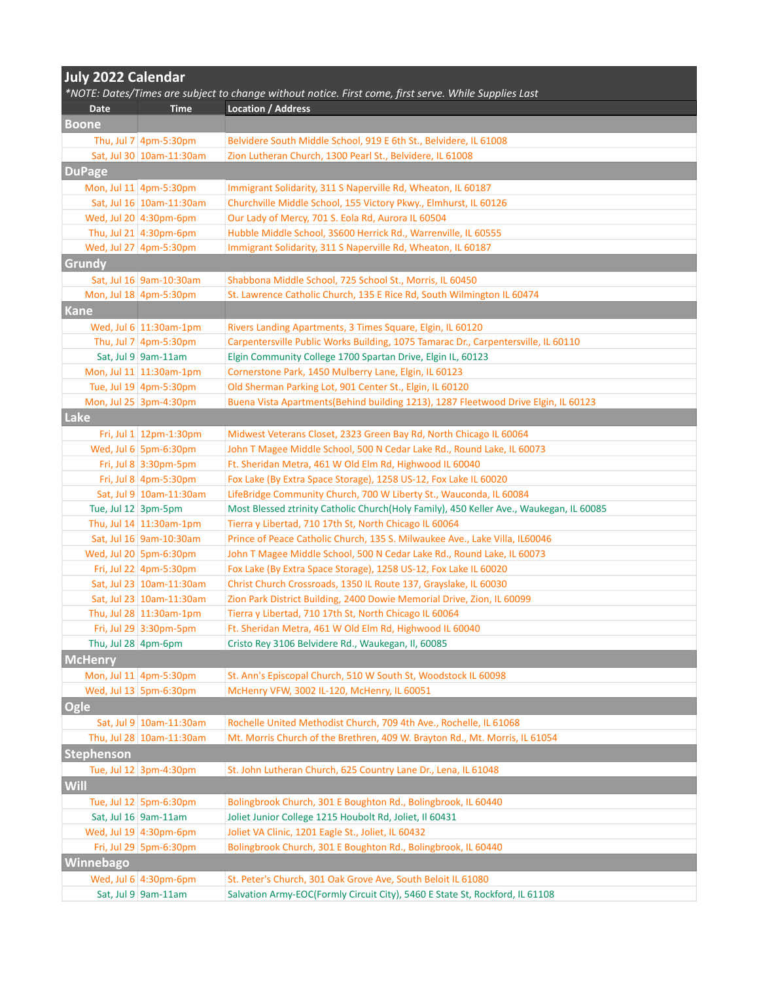| <b>July 2022 Calendar</b> |                                |                                                                                                       |  |
|---------------------------|--------------------------------|-------------------------------------------------------------------------------------------------------|--|
|                           |                                | *NOTE: Dates/Times are subject to change without notice. First come, first serve. While Supplies Last |  |
| Date                      | <b>Time</b>                    | <b>Location / Address</b>                                                                             |  |
| <b>Boone</b>              |                                |                                                                                                       |  |
|                           | Thu, Jul 7 $ 4pm-5:30pm$       | Belvidere South Middle School, 919 E 6th St., Belvidere, IL 61008                                     |  |
|                           | Sat, Jul 30   10am-11:30am     | Zion Lutheran Church, 1300 Pearl St., Belvidere, IL 61008                                             |  |
| <b>DuPage</b>             |                                |                                                                                                       |  |
|                           | Mon, Jul 11 4pm-5:30pm         | Immigrant Solidarity, 311 S Naperville Rd, Wheaton, IL 60187                                          |  |
|                           | Sat, Jul 16 10am-11:30am       | Churchville Middle School, 155 Victory Pkwy., Elmhurst, IL 60126                                      |  |
|                           | Wed, Jul 20 4:30pm-6pm         | Our Lady of Mercy, 701 S. Eola Rd, Aurora IL 60504                                                    |  |
|                           | Thu, Jul 21 $ 4:30$ pm-6pm     | Hubble Middle School, 3S600 Herrick Rd., Warrenville, IL 60555                                        |  |
|                           | Wed, Jul 27 4pm-5:30pm         | Immigrant Solidarity, 311 S Naperville Rd, Wheaton, IL 60187                                          |  |
| <b>Grundy</b>             |                                |                                                                                                       |  |
|                           | Sat, Jul 16 9am-10:30am        | Shabbona Middle School, 725 School St., Morris, IL 60450                                              |  |
|                           | Mon, Jul 18 4pm-5:30pm         | St. Lawrence Catholic Church, 135 E Rice Rd, South Wilmington IL 60474                                |  |
| Kane                      |                                |                                                                                                       |  |
|                           | Wed, Jul $6 \mid 11:30$ am-1pm | Rivers Landing Apartments, 3 Times Square, Elgin, IL 60120                                            |  |
|                           | Thu, Jul $7 \mid 4$ pm-5:30pm  | Carpentersville Public Works Building, 1075 Tamarac Dr., Carpentersville, IL 60110                    |  |
|                           | Sat, Jul 9 9am-11am            | Elgin Community College 1700 Spartan Drive, Elgin IL, 60123                                           |  |
|                           | Mon, Jul 11 11:30am-1pm        | Cornerstone Park, 1450 Mulberry Lane, Elgin, IL 60123                                                 |  |
|                           | Tue, Jul 19 4pm-5:30pm         | Old Sherman Parking Lot, 901 Center St., Elgin, IL 60120                                              |  |
|                           | Mon, Jul 25 3pm-4:30pm         | Buena Vista Apartments(Behind building 1213), 1287 Fleetwood Drive Elgin, IL 60123                    |  |
| Lake                      |                                |                                                                                                       |  |
|                           | Fri, Jul $1 \mid 12$ pm-1:30pm | Midwest Veterans Closet, 2323 Green Bay Rd, North Chicago IL 60064                                    |  |
|                           | Wed, Jul $6$ 5pm-6:30pm        | John T Magee Middle School, 500 N Cedar Lake Rd., Round Lake, IL 60073                                |  |
|                           | Fri, Jul 8 3:30pm-5pm          | Ft. Sheridan Metra, 461 W Old Elm Rd, Highwood IL 60040                                               |  |
|                           | Fri, Jul 8 4pm-5:30pm          | Fox Lake (By Extra Space Storage), 1258 US-12, Fox Lake IL 60020                                      |  |
|                           | Sat, Jul 9 10am-11:30am        | LifeBridge Community Church, 700 W Liberty St., Wauconda, IL 60084                                    |  |
| Tue, Jul 12 $ 3$ pm-5pm   |                                | Most Blessed ztrinity Catholic Church(Holy Family), 450 Keller Ave., Waukegan, IL 60085               |  |
|                           | Thu, Jul 14 $ 11:30$ am-1pm    | Tierra y Libertad, 710 17th St, North Chicago IL 60064                                                |  |
|                           | Sat, Jul 16 9am-10:30am        | Prince of Peace Catholic Church, 135 S. Milwaukee Ave., Lake Villa, IL60046                           |  |
|                           | Wed, Jul 20 5pm-6:30pm         | John T Magee Middle School, 500 N Cedar Lake Rd., Round Lake, IL 60073                                |  |
|                           | Fri, Jul 22 4pm-5:30pm         | Fox Lake (By Extra Space Storage), 1258 US-12, Fox Lake IL 60020                                      |  |
|                           | Sat, Jul 23   10am-11:30am     | Christ Church Crossroads, 1350 IL Route 137, Grayslake, IL 60030                                      |  |
|                           | Sat, Jul 23   10am-11:30am     | Zion Park District Building, 2400 Dowie Memorial Drive, Zion, IL 60099                                |  |
|                           | Thu, Jul 28 11:30am-1pm        | Tierra y Libertad, 710 17th St, North Chicago IL 60064                                                |  |
|                           | Fri, Jul 29 3:30pm-5pm         | Ft. Sheridan Metra, 461 W Old Elm Rd, Highwood IL 60040                                               |  |
| Thu, Jul 28 $ 4$ pm-6pm   |                                | Cristo Rey 3106 Belvidere Rd., Waukegan, Il, 60085                                                    |  |
| <b>McHenry</b>            |                                |                                                                                                       |  |
|                           | Mon, Jul 11 4pm-5:30pm         | St. Ann's Episcopal Church, 510 W South St, Woodstock IL 60098                                        |  |
|                           | Wed, Jul 13 5pm-6:30pm         | McHenry VFW, 3002 IL-120, McHenry, IL 60051                                                           |  |
|                           |                                |                                                                                                       |  |
| <b>Ogle</b>               |                                |                                                                                                       |  |
|                           | Sat, Jul 9 10am-11:30am        | Rochelle United Methodist Church, 709 4th Ave., Rochelle, IL 61068                                    |  |
|                           | Thu, Jul 28 10am-11:30am       | Mt. Morris Church of the Brethren, 409 W. Brayton Rd., Mt. Morris, IL 61054                           |  |
| Stephenson                |                                |                                                                                                       |  |
|                           | Tue, Jul 12 3pm-4:30pm         | St. John Lutheran Church, 625 Country Lane Dr., Lena, IL 61048                                        |  |
| <b>Will</b>               |                                |                                                                                                       |  |
|                           | Tue, Jul 12 5pm-6:30pm         | Bolingbrook Church, 301 E Boughton Rd., Bolingbrook, IL 60440                                         |  |
|                           | Sat, Jul 16 9am-11am           | Joliet Junior College 1215 Houbolt Rd, Joliet, Il 60431                                               |  |
|                           | Wed, Jul 19 $ 4:30$ pm-6pm     | Joliet VA Clinic, 1201 Eagle St., Joliet, IL 60432                                                    |  |
|                           | Fri, Jul 29 5pm-6:30pm         | Bolingbrook Church, 301 E Boughton Rd., Bolingbrook, IL 60440                                         |  |
| Winnebago                 |                                |                                                                                                       |  |
|                           | Wed, Jul $6 \mid 4:30$ pm-6pm  | St. Peter's Church, 301 Oak Grove Ave, South Beloit IL 61080                                          |  |
|                           | Sat, Jul 9 9am-11am            | Salvation Army-EOC(Formly Circuit City), 5460 E State St, Rockford, IL 61108                          |  |